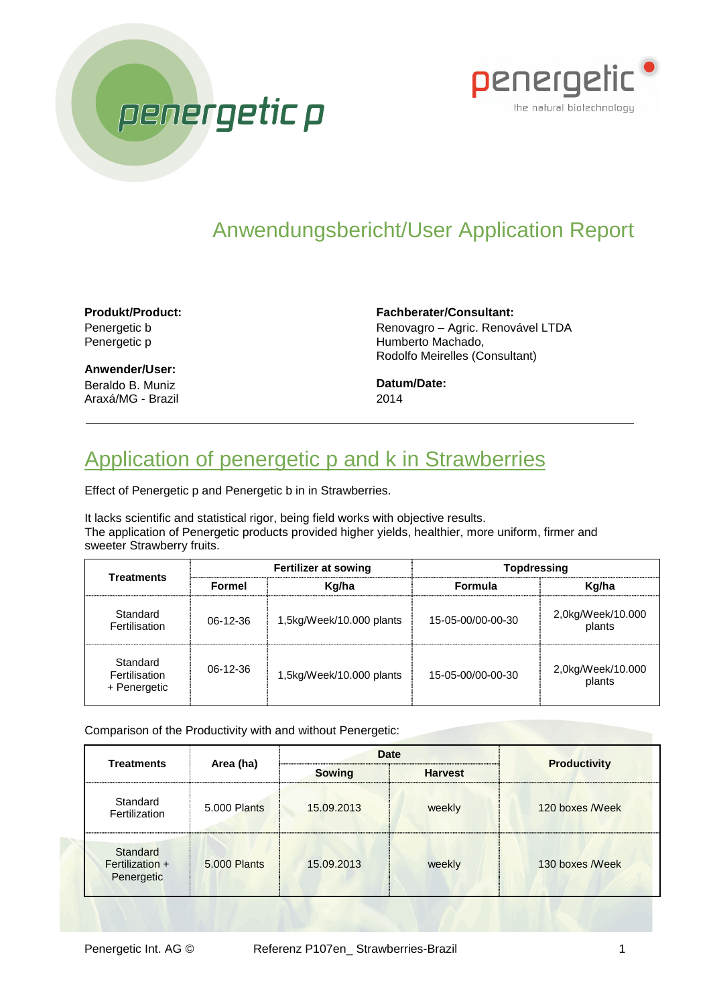



## Anwendungsbericht/User Application Report

**Produkt/Product:** Penergetic b Penergetic p

**Anwender/User:** Beraldo B. Muniz Araxá/MG - Brazil **Fachberater/Consultant:** Renovagro – Agric. Renovável LTDA Humberto Machado, Rodolfo Meirelles (Consultant)

**Datum/Date:** 2014

## Application of penergetic p and k in Strawberries

Effect of Penergetic p and Penergetic b in in Strawberries.

It lacks scientific and statistical rigor, being field works with objective results. The application of Penergetic products provided higher yields, healthier, more uniform, firmer and sweeter Strawberry fruits.

| <b>Treatments</b>                         | <b>Fertilizer at sowing</b> |                          | Topdressing       |                             |
|-------------------------------------------|-----------------------------|--------------------------|-------------------|-----------------------------|
|                                           | Formel                      | Kg/ha                    | <b>Formula</b>    | Kg/ha                       |
| Standard<br>Fertilisation                 | $06-12-36$                  | 1,5kg/Week/10.000 plants | 15-05-00/00-00-30 | 2,0kg/Week/10.000<br>plants |
| Standard<br>Fertilisation<br>+ Penergetic | 06-12-36                    | 1,5kg/Week/10.000 plants | 15-05-00/00-00-30 | 2,0kg/Week/10.000<br>plants |

Comparison of the Productivity with and without Penergetic:

| <b>Treatments</b>                         | Area (ha)    | <b>Date</b>   |                | <b>Productivity</b> |
|-------------------------------------------|--------------|---------------|----------------|---------------------|
|                                           |              | <b>Sowing</b> | <b>Harvest</b> |                     |
| Standard<br>Fertilization                 | 5.000 Plants | 15.09.2013    | weekly         | 120 boxes Week      |
| Standard<br>Fertilization +<br>Penergetic | 5.000 Plants | 15.09.2013    | weekly         | 130 boxes Week      |